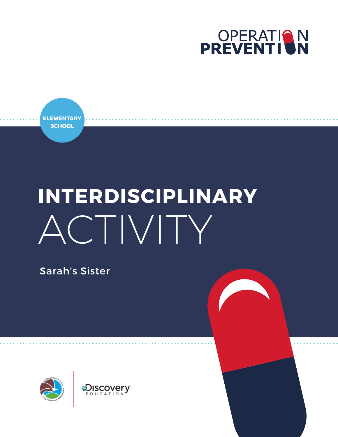

**ELEMENTARY SCHOOL**

# **INTERDISCIPLINARY** ACTIVITY

Sarah's Sister

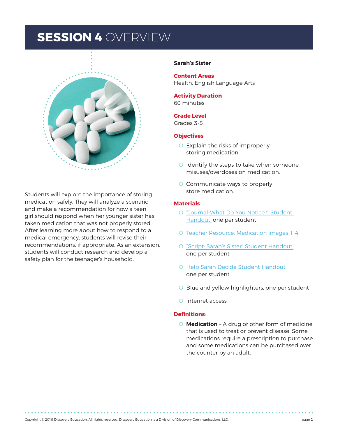### **SESSION 4** OVERVIEW



Students will explore the importance of storing medication safely. They will analyze a scenario and make a recommendation for how a teen girl should respond when her younger sister has taken medication that was not properly stored. After learning more about how to respond to a medical emergency, students will revise their recommendations, if appropriate. As an extension, students will conduct research and develop a safety plan for the teenager's household.

#### **Sarah's Sister**

**Content Areas**  Health, English Language Arts

**Activity Duration** 60 minutes

### **Grade Level**

Grades 3-5

#### **Objectives**

- O Explain the risks of improperly storing medication.
- O Identify the steps to take when someone misuses/overdoses on medication.
- O Communicate ways to properly store medication.

### **Materials**

- O ["Journal-What Do You Notice?"](#page-11-0) Student Handout, one per student
- O [Teacher Resource: Medication Images 1-4](#page-10-0)
- O ["Script: Sarah's Sister" Student Handout,](#page-12-0) one per student
- O [Help Sarah Decide Student Handout,](#page-13-0)  one per student
- O Blue and yellow highlighters, one per student
- O Internet access

#### **Definitions**:

O **Medication** – A drug or other form of medicine that is used to treat or prevent disease. Some medications require a prescription to purchase and some medications can be purchased over the counter by an adult.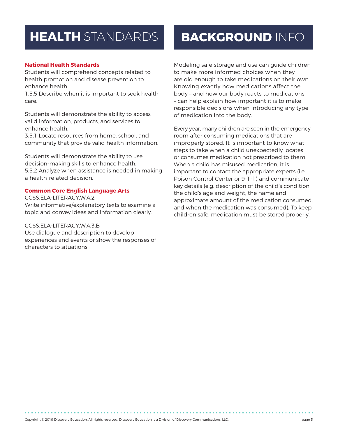### **HEALTH** STANDARDS

#### **National Health Standards**

Students will comprehend concepts related to health promotion and disease prevention to enhance health.

1.5.5 Describe when it is important to seek health care.

Students will demonstrate the ability to access valid information, products, and services to enhance health.

3.5.1 Locate resources from home, school, and community that provide valid health information.

Students will demonstrate the ability to use decision-making skills to enhance health. 5.5.2 Analyze when assistance is needed in making a health-related decision.

#### **Common Core English Language Arts**

CCSS.ELA-LITERACY.W.4.2 Write informative/explanatory texts to examine a topic and convey ideas and information clearly.

### CCSS.ELA-LITERACY.W.4.3.B

Use dialogue and description to develop experiences and events or show the responses of characters to situations.

# **BACKGROUND** INFO

Modeling safe storage and use can guide children to make more informed choices when they are old enough to take medications on their own. Knowing exactly how medications affect the body – and how our body reacts to medications – can help explain how important it is to make responsible decisions when introducing any type of medication into the body.

Every year, many children are seen in the emergency room after consuming medications that are improperly stored. It is important to know what steps to take when a child unexpectedly locates or consumes medication not prescribed to them. When a child has misused medication, it is important to contact the appropriate experts (i.e. Poison Control Center or 9-1-1) and communicate key details (e.g. description of the child's condition, the child's age and weight, the name and approximate amount of the medication consumed, and when the medication was consumed). To keep children safe, medication must be stored properly.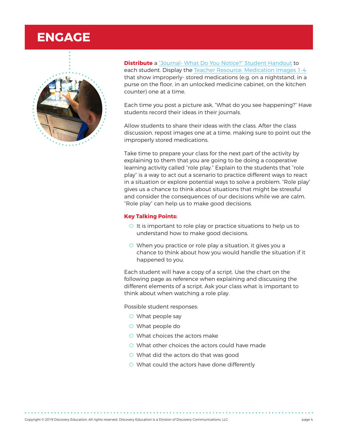### **ENGAGE**



**Distribute** a ["Journal- What Do You Notice?" Student Handout](#page-11-0) to each student. Display the [Teacher Resource: Medication Images 1-4](#page-10-0) that show improperly- stored medications (e.g. on a nightstand, in a purse on the floor, in an unlocked medicine cabinet, on the kitchen counter) one at a time.

Each time you post a picture ask, "What do you see happening?" Have students record their ideas in their journals.

Allow students to share their ideas with the class. After the class discussion, repost images one at a time, making sure to point out the improperly stored medications.

Take time to prepare your class for the next part of the activity by explaining to them that you are going to be doing a cooperative learning activity called "role play." Explain to the students that "role play" is a way to act out a scenario to practice different ways to react in a situation or explore potential ways to solve a problem. "Role play" gives us a chance to think about situations that might be stressful and consider the consequences of our decisions while we are calm. "Role play" can help us to make good decisions.

#### **Key Talking Points:**

- O It is important to role play or practice situations to help us to understand how to make good decisions.
- O When you practice or role play a situation, it gives you a chance to think about how you would handle the situation if it happened to you.

Each student will have a copy of a script. Use the chart on the following page as reference when explaining and discussing the different elements of a script. Ask your class what is important to think about when watching a role play.

Possible student responses:

- O What people say
- O What people do
- O What choices the actors make
- O What other choices the actors could have made
- O What did the actors do that was good
- O What could the actors have done differently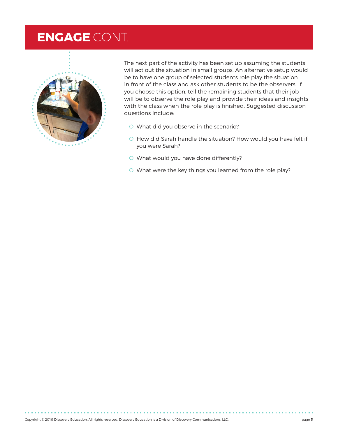### **ENGAGE** CONT.



The next part of the activity has been set up assuming the students will act out the situation in small groups. An alternative setup would be to have one group of selected students role play the situation in front of the class and ask other students to be the observers. If you choose this option, tell the remaining students that their job will be to observe the role play and provide their ideas and insights with the class when the role play is finished. Suggested discussion questions include:

- O What did you observe in the scenario?
- O How did Sarah handle the situation? How would you have felt if you were Sarah?
- O What would you have done differently?
- O What were the key things you learned from the role play?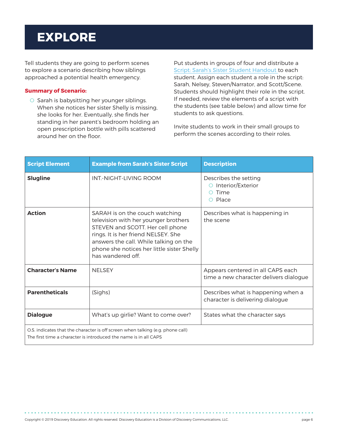### **EXPLORE**

Tell students they are going to perform scenes to explore a scenario describing how siblings approached a potential health emergency.

#### **Summary of Scenario:**

O Sarah is babysitting her younger siblings. When she notices her sister Shelly is missing, she looks for her. Eventually, she finds her standing in her parent's bedroom holding an open prescription bottle with pills scattered around her on the floor.

Put students in groups of four and distribute a Script: [Sarah's Sister Student Handout](#page-12-0) to each student. Assign each student a role in the script: Sarah, Nelsey, Steven/Narrator, and Scott/Scene. Students should highlight their role in the script. If needed, review the elements of a script with the students (see table below) and allow time for students to ask questions.

Invite students to work in their small groups to perform the scenes according to their roles.

| <b>Script Element</b>   | <b>Example from Sarah's Sister Script</b>                                                                                                                                                                                                                      | <b>Description</b>                                                                     |
|-------------------------|----------------------------------------------------------------------------------------------------------------------------------------------------------------------------------------------------------------------------------------------------------------|----------------------------------------------------------------------------------------|
| <b>Slugline</b>         | INT-NIGHT-I IVING ROOM                                                                                                                                                                                                                                         | Describes the setting<br>Interior/Exterior<br>$\bigcirc$<br>Time<br>Place<br>$\bigcap$ |
| <b>Action</b>           | SARAH is on the couch watching<br>television with her younger brothers<br>STEVEN and SCOTT. Her cell phone<br>rings. It is her friend NELSEY. She<br>answers the call. While talking on the<br>phone she notices her little sister Shelly<br>has wandered off. | Describes what is happening in<br>the scene                                            |
| <b>Character's Name</b> | <b>NFISFY</b>                                                                                                                                                                                                                                                  | Appears centered in all CAPS each<br>time a new character delivers dialogue            |
| <b>Parentheticals</b>   | (Sighs)                                                                                                                                                                                                                                                        | Describes what is happening when a<br>character is delivering dialogue                 |
| <b>Dialogue</b>         | What's up girlie? Want to come over?                                                                                                                                                                                                                           | States what the character says                                                         |
|                         | O.S. indicates that the character is off screen when talking (e.g. phone call)<br>The first time a character is introduced the name is in all CAPS                                                                                                             |                                                                                        |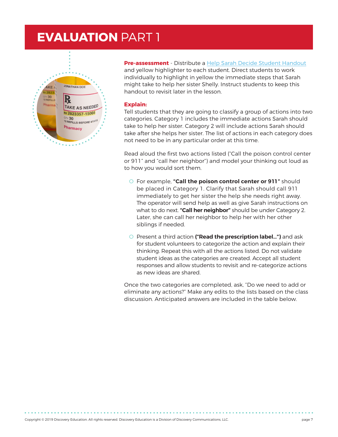### **EVALUATION** PART 1



**Pre-assessment** - Distribute a [Help Sarah Decide Student Handout](#page-13-0) and yellow highlighter to each student. Direct students to work individually to highlight in yellow the immediate steps that Sarah might take to help her sister Shelly. Instruct students to keep this handout to revisit later in the lesson.

#### **Explain:**

Tell students that they are going to classify a group of actions into two categories. Category 1 includes the immediate actions Sarah should take to help her sister. Category 2 will include actions Sarah should take after she helps her sister. The list of actions in each category does not need to be in any particular order at this time.

Read aloud the first two actions listed ("Call the poison control center or 911" and "call her neighbor") and model your thinking out loud as to how you would sort them.

- O For example, **"Call the poison control center or 911"** should be placed in Category 1. Clarify that Sarah should call 911 immediately to get her sister the help she needs right away. The operator will send help as well as give Sarah instructions on what to do next. **"Call her neighbor"** should be under Category 2. Later, she can call her neighbor to help her with her other siblings if needed.
- O Present a third action **("Read the prescription label…")** and ask for student volunteers to categorize the action and explain their thinking. Repeat this with all the actions listed. Do not validate student ideas as the categories are created. Accept all student responses and allow students to revisit and re-categorize actions as new ideas are shared.

Once the two categories are completed, ask, "Do we need to add or eliminate any actions?" Make any edits to the lists based on the class discussion. Anticipated answers are included in the table below.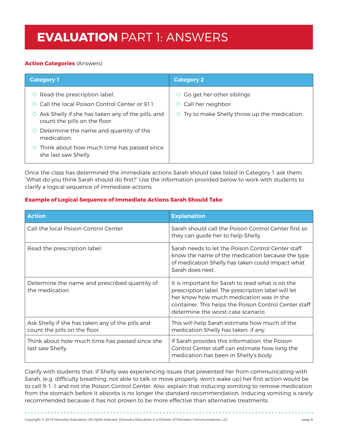### **EVALUATION** PART 1: ANSWERS

### **Action Categories** (Answers)

| <b>Category 1</b>                                                                                                                                                  | <b>Category 2</b>                                                                                                   |  |
|--------------------------------------------------------------------------------------------------------------------------------------------------------------------|---------------------------------------------------------------------------------------------------------------------|--|
| Read the prescription label.<br>Call the local Poison Control Center or 911.<br>Ask Shelly if she has taken any of the pills, and<br>count the pills on the floor. | Go get her other siblings<br>$\circ$<br>$\circ$ Call her neighbor.<br>O Try to make Shelly throw up the medication. |  |
| Determine the name and quantity of the<br>medication.                                                                                                              |                                                                                                                     |  |
| Think about how much time has passed since<br>she last saw Shelly.                                                                                                 |                                                                                                                     |  |

Once the class has determined the immediate actions Sarah should take listed in Category 1 ask them, "What do you think Sarah should do first?" Use the information provided below to work with students to clarify a logical sequence of immediate actions.

### **Example of Logical Sequence of Immediate Actions Sarah Should Take**

| <b>Action</b>                                                                     | <b>Explanation</b>                                                                                                                                                                                                                                |  |
|-----------------------------------------------------------------------------------|---------------------------------------------------------------------------------------------------------------------------------------------------------------------------------------------------------------------------------------------------|--|
| Call the local Poison Control Center.                                             | Sarah should call the Poison Control Center first so<br>they can guide her to help Shelly.                                                                                                                                                        |  |
| Read the prescription label.                                                      | Sarah needs to let the Poison Control Center staff<br>know the name of the medication because the type<br>of medication Shelly has taken could impact what<br>Sarah does next.                                                                    |  |
| Determine the name and prescribed quantity of<br>the medication.                  | It is important for Sarah to read what is on the<br>prescription label. The prescription label will let<br>her know how much medication was in the<br>container. This helps the Poison Control Center staff<br>determine the worst-case scenario. |  |
| Ask Shelly if she has taken any of the pills and<br>count the pills on the floor. | This will help Sarah estimate how much of the<br>medication Shelly has taken, if any.                                                                                                                                                             |  |
| Think about how much time has passed since she<br>last saw Shelly.                | If Sarah provides this information, the Poison<br>Control Center staff can estimate how long the<br>medication has been in Shelly's body.                                                                                                         |  |

Clarify with students that, if Shelly was experiencing issues that prevented her from communicating with Sarah, (e.g. difficulty breathing, not able to talk or move properly, won't wake up) her first action would be to call 9-1-1 and not the Poison Control Center. Also, explain that inducing vomiting to remove medication from the stomach before it absorbs is no longer the standard recommendation. Inducing vomiting is rarely recommended because it has not proven to be more effective than alternative treatments.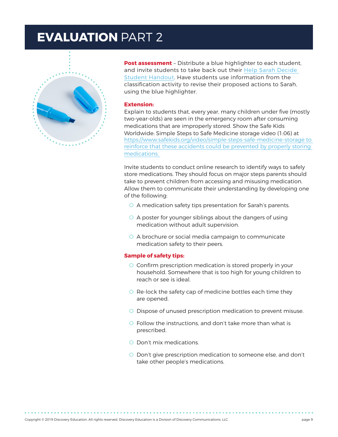### **EVALUATION** PART 2



**Post assessment** - Distribute a blue highlighter to each student, and invite students to take back out their [Help Sarah Decide](#page-13-0)  [Student Handout](#page-13-0). Have students use information from the classification activity to revise their proposed actions to Sarah, using the blue highlighter.

#### **Extension:**

Explain to students that, every year, many children under five (mostly two-year-olds) are seen in the emergency room after consuming medications that are improperly stored. Show the Safe Kids Worldwide: Simple Steps to Safe Medicine storage video (1:06) at <https://www.safekids.org/video/simple-steps-safe-medicine-storage>to reinforce that these accidents could be prevented by properly storing medications.

Invite students to conduct online research to identify ways to safely store medications. They should focus on major steps parents should take to prevent children from accessing and misusing medication. Allow them to communicate their understanding by developing one of the following:

- O A medication safety tips presentation for Sarah's parents.
- O A poster for younger siblings about the dangers of using medication without adult supervision.
- O A brochure or social media campaign to communicate medication safety to their peers.

#### **Sample of safety tips:**

- O Confirm prescription medication is stored properly in your household. Somewhere that is too high for young children to reach or see is ideal.
- O Re-lock the safety cap of medicine bottles each time they are opened.
- O Dispose of unused prescription medication to prevent misuse.
- O Follow the instructions, and don't take more than what is prescribed.
- O Don't mix medications.
- O Don't give prescription medication to someone else, and don't take other people's medications.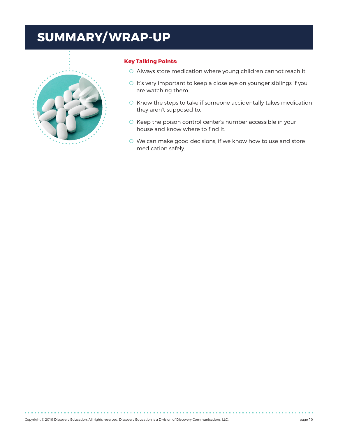### **SUMMARY/ WRAP-UP**



#### **Key Talking Points:**

- O Always store medication where young children cannot reach it.
- O It's very important to keep a close eye on younger siblings if you are watching them.
- O Know the steps to take if someone accidentally takes medication they aren't supposed to.
- O Keep the poison control center's number accessible in your house and know where to find it.
- O We can make good decisions, if we know how to use and store medication safely.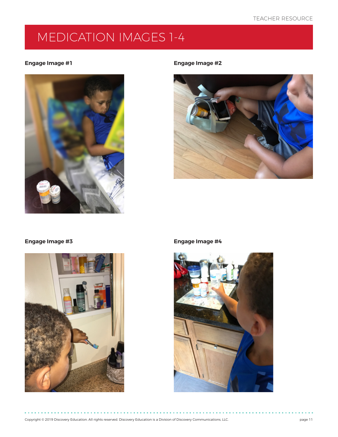### <span id="page-10-0"></span>MEDICATION IMAGES 1-4

#### **Engage Image #1 Engage Image #2**







### **Engage Image #3 Engage Image #4**

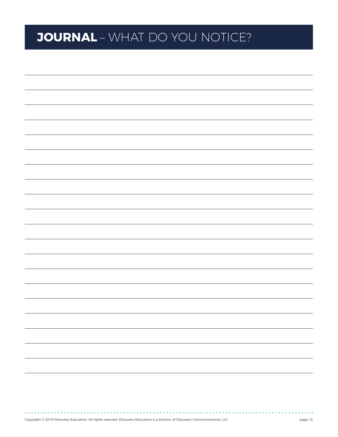## <span id="page-11-0"></span>**JOURNAL** – WHAT DO YOU NOTICE?

. . . . . . . . . .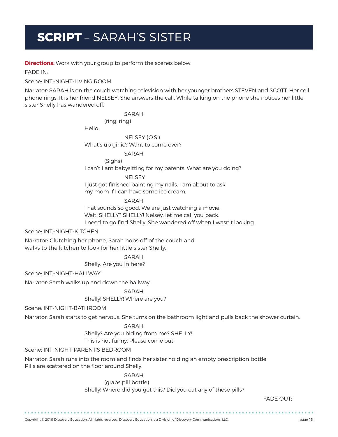### <span id="page-12-0"></span>**SCRIPT** – SARAH'S SISTER

**Directions:** Work with your group to perform the scenes below.

FADE IN:

Scene: INT.-NIGHT-LIVING ROOM

Narrator: SARAH is on the couch watching television with her younger brothers STEVEN and SCOTT. Her cell phone rings. It is her friend NELSEY. She answers the call. While talking on the phone she notices her little sister Shelly has wandered off.

**SARAH** 

(ring, ring)

Hello.

 NELSEY (O.S.) What's up girlie? Want to come over?

> SARAH (Sighs)

I can't I am babysitting for my parents. What are you doing?

NELSEY

I just got finished painting my nails. I am about to ask my mom if I can have some ice cream.

SARAH

That sounds so good. We are just watching a movie. Wait. SHELLY? SHELLY! Nelsey, let me call you back. I need to go find Shelly. She wandered off when I wasn't looking.

Scene: INT.-NIGHT-KITCHEN

Narrator: Clutching her phone, Sarah hops off of the couch and walks to the kitchen to look for her little sister Shelly.

SARAH

Shelly. Are you in here?

Scene: INT.-NIGHT-HALLWAY

Narrator: Sarah walks up and down the hallway.

SARAH

Shelly! SHELLY! Where are you?

Scene: INT-NIGHT-BATHROOM

Narrator: Sarah starts to get nervous. She turns on the bathroom light and pulls back the shower curtain.

### SARAH

 Shelly? Are you hiding from me? SHELLY! This is not funny. Please come out.

Scene: INT-NIGHT-PARENT'S BEDROOM

Narrator: Sarah runs into the room and finds her sister holding an empty prescription bottle. Pills are scattered on the floor around Shelly.

> SARAH (grabs pill bottle) Shelly! Where did you get this? Did you eat any of these pills?

FADE OUT: